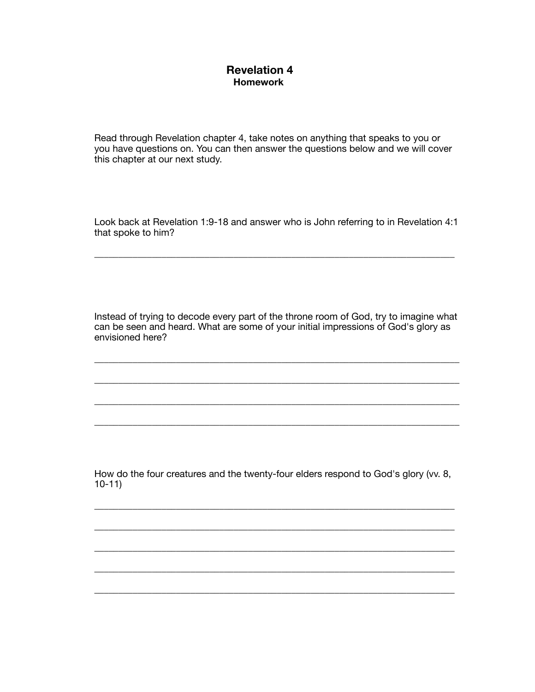## **Revelation 4 Homework**

Read through Revelation chapter 4, take notes on anything that speaks to you or you have questions on. You can then answer the questions below and we will cover this chapter at our next study.

Look back at Revelation 1:9-18 and answer who is John referring to in Revelation 4:1 that spoke to him?

\_\_\_\_\_\_\_\_\_\_\_\_\_\_\_\_\_\_\_\_\_\_\_\_\_\_\_\_\_\_\_\_\_\_\_\_\_\_\_\_\_\_\_\_\_\_\_\_\_\_\_\_\_\_\_\_\_\_\_\_\_\_\_\_\_\_\_\_\_\_\_\_\_\_\_

Instead of trying to decode every part of the throne room of God, try to imagine what can be seen and heard. What are some of your initial impressions of God's glory as envisioned here?

\_\_\_\_\_\_\_\_\_\_\_\_\_\_\_\_\_\_\_\_\_\_\_\_\_\_\_\_\_\_\_\_\_\_\_\_\_\_\_\_\_\_\_\_\_\_\_\_\_\_\_\_\_\_\_\_\_\_\_\_\_\_\_\_\_\_\_\_\_\_\_\_\_\_\_\_

\_\_\_\_\_\_\_\_\_\_\_\_\_\_\_\_\_\_\_\_\_\_\_\_\_\_\_\_\_\_\_\_\_\_\_\_\_\_\_\_\_\_\_\_\_\_\_\_\_\_\_\_\_\_\_\_\_\_\_\_\_\_\_\_\_\_\_\_\_\_\_\_\_\_\_\_

\_\_\_\_\_\_\_\_\_\_\_\_\_\_\_\_\_\_\_\_\_\_\_\_\_\_\_\_\_\_\_\_\_\_\_\_\_\_\_\_\_\_\_\_\_\_\_\_\_\_\_\_\_\_\_\_\_\_\_\_\_\_\_\_\_\_\_\_\_\_\_\_\_\_\_\_

\_\_\_\_\_\_\_\_\_\_\_\_\_\_\_\_\_\_\_\_\_\_\_\_\_\_\_\_\_\_\_\_\_\_\_\_\_\_\_\_\_\_\_\_\_\_\_\_\_\_\_\_\_\_\_\_\_\_\_\_\_\_\_\_\_\_\_\_\_\_\_\_\_\_\_\_

How do the four creatures and the twenty-four elders respond to God's glory (vv. 8, 10-11)

\_\_\_\_\_\_\_\_\_\_\_\_\_\_\_\_\_\_\_\_\_\_\_\_\_\_\_\_\_\_\_\_\_\_\_\_\_\_\_\_\_\_\_\_\_\_\_\_\_\_\_\_\_\_\_\_\_\_\_\_\_\_\_\_\_\_\_\_\_\_\_\_\_\_\_

\_\_\_\_\_\_\_\_\_\_\_\_\_\_\_\_\_\_\_\_\_\_\_\_\_\_\_\_\_\_\_\_\_\_\_\_\_\_\_\_\_\_\_\_\_\_\_\_\_\_\_\_\_\_\_\_\_\_\_\_\_\_\_\_\_\_\_\_\_\_\_\_\_\_\_

\_\_\_\_\_\_\_\_\_\_\_\_\_\_\_\_\_\_\_\_\_\_\_\_\_\_\_\_\_\_\_\_\_\_\_\_\_\_\_\_\_\_\_\_\_\_\_\_\_\_\_\_\_\_\_\_\_\_\_\_\_\_\_\_\_\_\_\_\_\_\_\_\_\_\_

\_\_\_\_\_\_\_\_\_\_\_\_\_\_\_\_\_\_\_\_\_\_\_\_\_\_\_\_\_\_\_\_\_\_\_\_\_\_\_\_\_\_\_\_\_\_\_\_\_\_\_\_\_\_\_\_\_\_\_\_\_\_\_\_\_\_\_\_\_\_\_\_\_\_\_

\_\_\_\_\_\_\_\_\_\_\_\_\_\_\_\_\_\_\_\_\_\_\_\_\_\_\_\_\_\_\_\_\_\_\_\_\_\_\_\_\_\_\_\_\_\_\_\_\_\_\_\_\_\_\_\_\_\_\_\_\_\_\_\_\_\_\_\_\_\_\_\_\_\_\_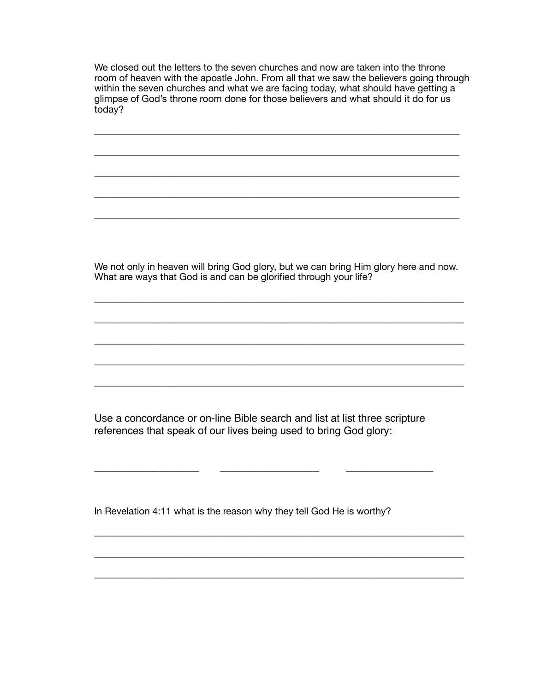We closed out the letters to the seven churches and now are taken into the throne room of heaven with the apostle John. From all that we saw the believers going through within the seven churches and what we are facing today, what should have getting a glimpse of God's throne room done for those believers and what should it do for us today?

\_\_\_\_\_\_\_\_\_\_\_\_\_\_\_\_\_\_\_\_\_\_\_\_\_\_\_\_\_\_\_\_\_\_\_\_\_\_\_\_\_\_\_\_\_\_\_\_\_\_\_\_\_\_\_\_\_\_\_\_\_\_\_\_\_\_\_\_\_\_\_\_\_\_\_\_

\_\_\_\_\_\_\_\_\_\_\_\_\_\_\_\_\_\_\_\_\_\_\_\_\_\_\_\_\_\_\_\_\_\_\_\_\_\_\_\_\_\_\_\_\_\_\_\_\_\_\_\_\_\_\_\_\_\_\_\_\_\_\_\_\_\_\_\_\_\_\_\_\_\_\_\_

\_\_\_\_\_\_\_\_\_\_\_\_\_\_\_\_\_\_\_\_\_\_\_\_\_\_\_\_\_\_\_\_\_\_\_\_\_\_\_\_\_\_\_\_\_\_\_\_\_\_\_\_\_\_\_\_\_\_\_\_\_\_\_\_\_\_\_\_\_\_\_\_\_\_\_\_

\_\_\_\_\_\_\_\_\_\_\_\_\_\_\_\_\_\_\_\_\_\_\_\_\_\_\_\_\_\_\_\_\_\_\_\_\_\_\_\_\_\_\_\_\_\_\_\_\_\_\_\_\_\_\_\_\_\_\_\_\_\_\_\_\_\_\_\_\_\_\_\_\_\_\_\_

\_\_\_\_\_\_\_\_\_\_\_\_\_\_\_\_\_\_\_\_\_\_\_\_\_\_\_\_\_\_\_\_\_\_\_\_\_\_\_\_\_\_\_\_\_\_\_\_\_\_\_\_\_\_\_\_\_\_\_\_\_\_\_\_\_\_\_\_\_\_\_\_\_\_\_\_

We not only in heaven will bring God glory, but we can bring Him glory here and now. What are ways that God is and can be glorified through your life?

\_\_\_\_\_\_\_\_\_\_\_\_\_\_\_\_\_\_\_\_\_\_\_\_\_\_\_\_\_\_\_\_\_\_\_\_\_\_\_\_\_\_\_\_\_\_\_\_\_\_\_\_\_\_\_\_\_\_\_\_\_\_\_\_\_\_\_\_\_\_\_\_\_\_\_\_\_

\_\_\_\_\_\_\_\_\_\_\_\_\_\_\_\_\_\_\_\_\_\_\_\_\_\_\_\_\_\_\_\_\_\_\_\_\_\_\_\_\_\_\_\_\_\_\_\_\_\_\_\_\_\_\_\_\_\_\_\_\_\_\_\_\_\_\_\_\_\_\_\_\_\_\_\_\_

\_\_\_\_\_\_\_\_\_\_\_\_\_\_\_\_\_\_\_\_\_\_\_\_\_\_\_\_\_\_\_\_\_\_\_\_\_\_\_\_\_\_\_\_\_\_\_\_\_\_\_\_\_\_\_\_\_\_\_\_\_\_\_\_\_\_\_\_\_\_\_\_\_\_\_\_\_

\_\_\_\_\_\_\_\_\_\_\_\_\_\_\_\_\_\_\_\_\_\_\_\_\_\_\_\_\_\_\_\_\_\_\_\_\_\_\_\_\_\_\_\_\_\_\_\_\_\_\_\_\_\_\_\_\_\_\_\_\_\_\_\_\_\_\_\_\_\_\_\_\_\_\_\_\_

\_\_\_\_\_\_\_\_\_\_\_\_\_\_\_\_\_\_\_\_\_\_\_\_\_\_\_\_\_\_\_\_\_\_\_\_\_\_\_\_\_\_\_\_\_\_\_\_\_\_\_\_\_\_\_\_\_\_\_\_\_\_\_\_\_\_\_\_\_\_\_\_\_\_\_\_\_

Use a concordance or on-line Bible search and list at list three scripture references that speak of our lives being used to bring God glory:

\_\_\_\_\_\_\_\_\_\_\_\_\_\_\_\_\_\_ \_\_\_\_\_\_\_\_\_\_\_\_\_\_\_\_\_ \_\_\_\_\_\_\_\_\_\_\_\_\_\_\_

\_\_\_\_\_\_\_\_\_\_\_\_\_\_\_\_\_\_\_\_\_\_\_\_\_\_\_\_\_\_\_\_\_\_\_\_\_\_\_\_\_\_\_\_\_\_\_\_\_\_\_\_\_\_\_\_\_\_\_\_\_\_\_\_\_\_\_\_\_\_\_\_\_\_\_\_\_

\_\_\_\_\_\_\_\_\_\_\_\_\_\_\_\_\_\_\_\_\_\_\_\_\_\_\_\_\_\_\_\_\_\_\_\_\_\_\_\_\_\_\_\_\_\_\_\_\_\_\_\_\_\_\_\_\_\_\_\_\_\_\_\_\_\_\_\_\_\_\_\_\_\_\_\_\_

\_\_\_\_\_\_\_\_\_\_\_\_\_\_\_\_\_\_\_\_\_\_\_\_\_\_\_\_\_\_\_\_\_\_\_\_\_\_\_\_\_\_\_\_\_\_\_\_\_\_\_\_\_\_\_\_\_\_\_\_\_\_\_\_\_\_\_\_\_\_\_\_\_\_\_\_\_

In Revelation 4:11 what is the reason why they tell God He is worthy?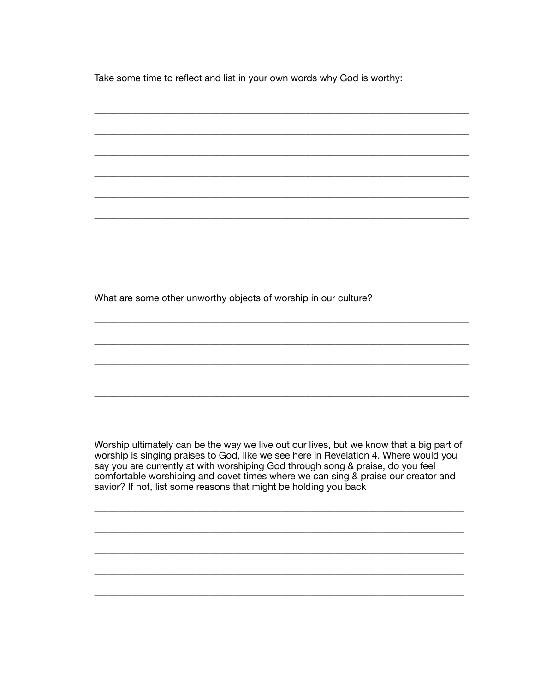Take some time to reflect and list in your own words why God is worthy:

What are some other unworthy objects of worship in our culture?

Worship ultimately can be the way we live out our lives, but we know that a big part of worship is singing praises to God, like we see here in Revelation 4. Where would you say you are currently at with worshiping God through song & praise, do you feel comfortable worshiping and covet times where we can sing & praise our creator and savior? If not, list some reasons that might be holding you back